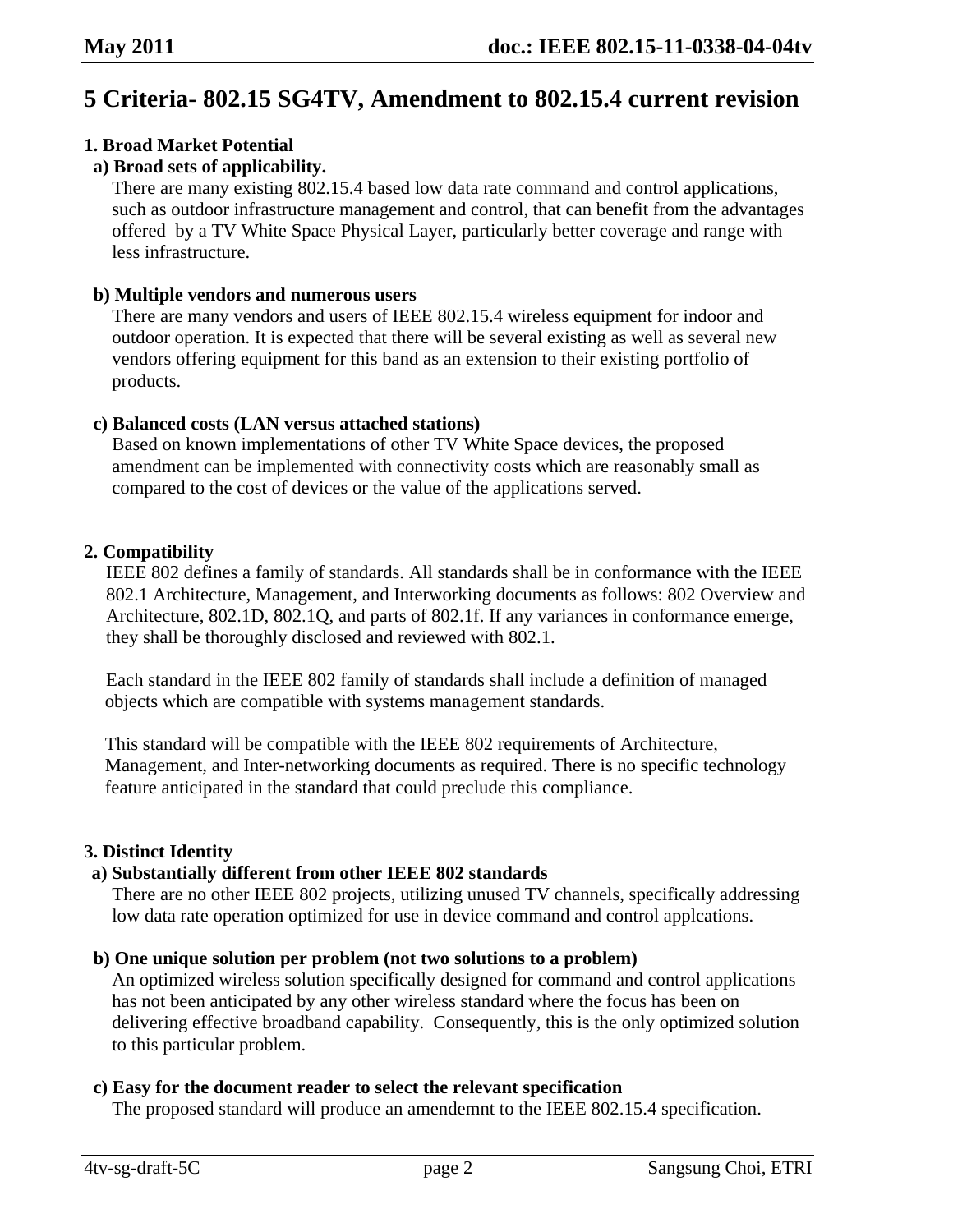# **5 Criteria- 802.15 SG4TV, Amendment to 802.15.4 current revision**

# **1. Broad Market Potential**

# **a) Broad sets of applicability.**

There are many existing 802.15.4 based low data rate command and control applications, such as outdoor infrastructure management and control, that can benefit from the advantages offered by a TV White Space Physical Layer, particularly better coverage and range with less infrastructure.

## **b) Multiple vendors and numerous users**

There are many vendors and users of IEEE 802.15.4 wireless equipment for indoor and outdoor operation. It is expected that there will be several existing as well as several new vendors offering equipment for this band as an extension to their existing portfolio of products.

## **c) Balanced costs (LAN versus attached stations)**

Based on known implementations of other TV White Space devices, the proposed amendment can be implemented with connectivity costs which are reasonably small as compared to the cost of devices or the value of the applications served.

## **2. Compatibility**

IEEE 802 defines a family of standards. All standards shall be in conformance with the IEEE 802.1 Architecture, Management, and Interworking documents as follows: 802 Overview and Architecture, 802.1D, 802.1Q, and parts of 802.1f. If any variances in conformance emerge, they shall be thoroughly disclosed and reviewed with 802.1.

Each standard in the IEEE 802 family of standards shall include a definition of managed objects which are compatible with systems management standards.

This standard will be compatible with the IEEE 802 requirements of Architecture, Management, and Inter-networking documents as required. There is no specific technology feature anticipated in the standard that could preclude this compliance.

# **3. Distinct Identity**

# **a) Substantially different from other IEEE 802 standards**

There are no other IEEE 802 projects, utilizing unused TV channels, specifically addressing low data rate operation optimized for use in device command and control applcations.

## **b) One unique solution per problem (not two solutions to a problem)**

An optimized wireless solution specifically designed for command and control applications has not been anticipated by any other wireless standard where the focus has been on delivering effective broadband capability. Consequently, this is the only optimized solution to this particular problem.

#### **c) Easy for the document reader to select the relevant specification**

The proposed standard will produce an amendemnt to the IEEE 802.15.4 specification.